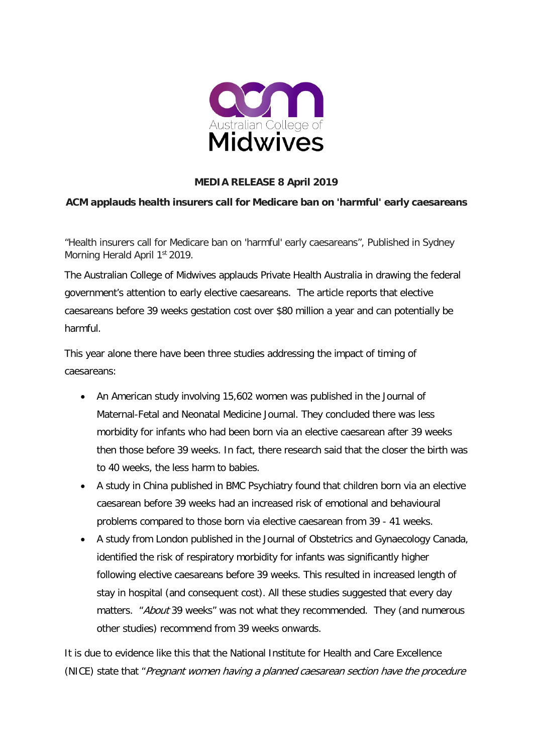

## **MEDIA RELEASE 8 April 2019**

## **ACM applauds health insurers call for Medicare ban on 'harmful' early caesareans**

"Health insurers call for Medicare ban on 'harmful' early caesareans", Published in Sydney Morning Herald April 1<sup>st</sup> 2019.

The Australian College of Midwives applauds Private Health Australia in drawing the federal government's attention to early elective caesareans. The article reports that elective caesareans before 39 weeks gestation cost over \$80 million a year and can potentially be harmful.

This year alone there have been three studies addressing the impact of timing of caesareans:

- An American study involving 15,602 women was published in the Journal of Maternal-Fetal and Neonatal Medicine Journal. They concluded there was less morbidity for infants who had been born via an elective caesarean after 39 weeks then those before 39 weeks. In fact, there research said that the closer the birth was to 40 weeks, the less harm to babies.
- A study in China published in BMC Psychiatry found that children born via an elective caesarean before 39 weeks had an increased risk of emotional and behavioural problems compared to those born via elective caesarean from 39 - 41 weeks.
- A study from London published in the Journal of Obstetrics and Gynaecology Canada, identified the risk of respiratory morbidity for infants was significantly higher following elective caesareans before 39 weeks. This resulted in increased length of stay in hospital (and consequent cost). All these studies suggested that every day matters. "About 39 weeks" was not what they recommended. They (and numerous other studies) recommend from 39 weeks onwards.

It is due to evidence like this that the National Institute for Health and Care Excellence (NICE) state that "Pregnant women having a planned caesarean section have the procedure